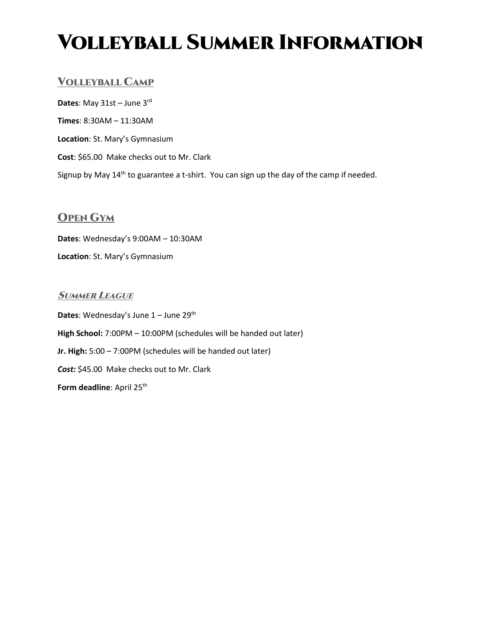# Volleyball Summer Information

## VOLLEYBALL CAMP

**Dates**: May 31st – June 3rd **Times**: 8:30AM – 11:30AM **Location**: St. Mary's Gymnasium **Cost**: \$65.00 Make checks out to Mr. Clark Signup by May 14<sup>th</sup> to guarantee a t-shirt. You can sign up the day of the camp if needed.

## OPEN GYM

**Dates**: Wednesday's 9:00AM – 10:30AM **Location**: St. Mary's Gymnasium

### **SUMMER LEAGUE**

**Dates:** Wednesday's June 1 – June 29<sup>th</sup> **High School:** 7:00PM – 10:00PM (schedules will be handed out later) **Jr. High:** 5:00 – 7:00PM (schedules will be handed out later) *Cost:* \$45.00 Make checks out to Mr. Clark **Form deadline:** April 25<sup>th</sup>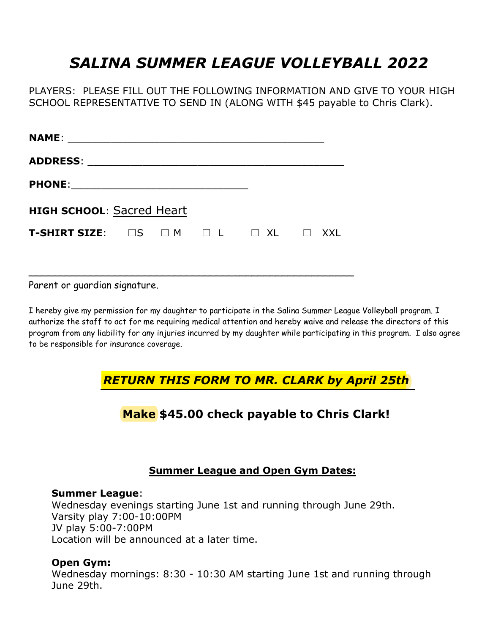## *SALINA SUMMER LEAGUE VOLLEYBALL 2022*

PLAYERS: PLEASE FILL OUT THE FOLLOWING INFORMATION AND GIVE TO YOUR HIGH SCHOOL REPRESENTATIVE TO SEND IN (ALONG WITH \$45 payable to Chris Clark).

| NAME: ___________________                                     |  |  |  |
|---------------------------------------------------------------|--|--|--|
| ADDRESS: _____________________                                |  |  |  |
|                                                               |  |  |  |
| <b>HIGH SCHOOL: Sacred Heart</b>                              |  |  |  |
| T-SHIRT SIZE: $\Box$ S $\Box$ M $\Box$ L $\Box$ XL $\Box$ XXL |  |  |  |
|                                                               |  |  |  |
|                                                               |  |  |  |

Parent or guardian signature.

I hereby give my permission for my daughter to participate in the Salina Summer League Volleyball program. I authorize the staff to act for me requiring medical attention and hereby waive and release the directors of this program from any liability for any injuries incurred by my daughter while participating in this program. I also agree to be responsible for insurance coverage.

## *RETURN THIS FORM TO MR. CLARK by April 25th*

## **Make \$45.00 check payable to Chris Clark!**

## **Summer League and Open Gym Dates:**

#### **Summer League**:

Wednesday evenings starting June 1st and running through June 29th. Varsity play 7:00-10:00PM JV play 5:00-7:00PM Location will be announced at a later time.

## **Open Gym:**

Wednesday mornings: 8:30 - 10:30 AM starting June 1st and running through June 29th.